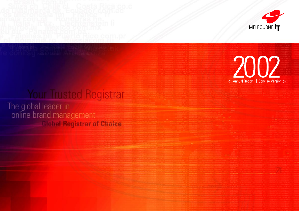# Your Trusted Registrar

The global leader in<br>online brand management **Global Registrar of Choice** 



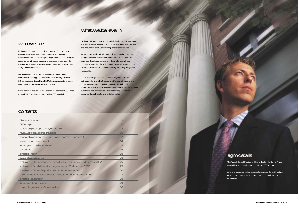### who.we.are

Melbourne IT is a world leader in the supply of domain names, superior domain name registration services and related value-added services. We also provide professional consulting and corporate domain name management services to business. Our markets are world-wide and we access them directly and through a large number of resellers.

Our resellers include some of the largest and best known information technology and telecommunications organisations in their respective fields. Based in Melbourne, Australia, we also have offices in the United States and Spain.

Listed on the Australian Stock Exchange in December 1999 under the code MLB, we have approximately 8,000 shareholders.

### what.we.believe.in

Melbourne IT has a commitment to building long-term, sustainable shareholder value. We will do this by generating excellent returns and through the careful stewardship of shareholder funds.

We are committed to developing our international markets by being the best service provider and the most technologically advanced domain name supplier in the world. We will also continue to work directly with customers and with our resellers, with whom we seek to establish mutually rewarding, long-term relationships.

We aim to always be a first-choice employer that attracts, trains and retains the best people by offering a stimulating and rewarding workplace. Through our people, we will continue to nurture a culture in which innovation and creativity are encouraged but always with the clear objective of building commercial sustainability and long-term shareholder value.

> The Annual General Meeting will be held at Le Meridien at Rialto, 495 Collins Street, Melbourne on 21 May 2003 at 11.00 am.

> All shareholders are invited to attend the Annual General Meeting or to complete and return the proxy that accompanies the Notice of Meeting.

### contents

| Chairman's.report                                                      | 5  |
|------------------------------------------------------------------------|----|
| CEO's.report                                                           | 6  |
| review.of.global.operations/wholesale                                  | 8  |
| review.of.global.operations/retail                                     | 10 |
| review.of.global.operations/corporate domain managment                 | 12 |
| research.and.development                                               | 14 |
| industry.and.market.overview                                           | 15 |
| our.people                                                             | 16 |
| directors'.report                                                      | 18 |
| corporate.governance                                                   | 20 |
| statement.of.financial.performance/for the year ended 31 december 2002 | 25 |
| statement.of.cash.flows/for the year ended 31 december 2002            | 25 |
| statement.of.financial.position/as at 31 december 2002                 | 26 |
| notes.to.the.financial.report/for the year ended 31 december 2002      | 27 |
| directors'.declaration                                                 | 28 |
| independent.audit.report                                               | 29 |
| corporate.governance/shareholders                                      | 30 |
|                                                                        |    |

### agm.details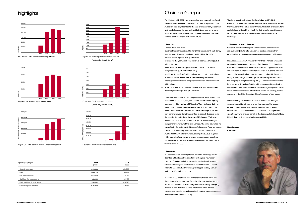# highlights

| <b>Operating Highlights</b> | 2002<br>\$'000 | 2001<br>\$'000 |
|-----------------------------|----------------|----------------|
| Operating revenue           | \$47,882       | \$51,272       |
| EBIT                        | (\$4,459)      | \$4,224        |
| Net profit after tax        | (\$5,046)      | \$3,053        |
| Cashflow from operations    | \$2,900        | \$4,488        |
| Cash and liquid investments | \$14,691       | \$15,976       |
| Gross margin in advance     | \$10,400       | \$10,615       |

# Chairman's.report

For Melbourne IT, 2002 was a watershed year in which we faced several major challenges. These included the deregulation of the Australian market (which led to the loss of the company's position as the sole licensee for .com.au) and flat global economic conditions. In these circumstances, the company weathered the storm and has positioned itself well for the future.

### **Results**

The results in brief were :

- Earnings Before Interest and Tax for 2002, before significant items, was \$2.389 million compared with \$4.22 million for 2001;
- positive operating cash was \$2.9 million; —
- revenue for the year was \$47.8 million, a decrease of 7% (\$51.2 million for 2001);
- Profit After Tax, before significant items, was \$2.008 million compared with \$3.05 million for 2001;
- significant items of \$6.8 million related largely to the write-down of the company's investment in the NeuLevel joint venture;
- after significant items the company recorded an after-tax loss of \$5.0 million;
- $-$  at 31 December 2002, the cash balance was \$14.7 million and deferred gross margin was \$10.4 million.

The major disappointment for the year was the write down of our investment in NeuLevel, the joint-venture domain name registry business in which we have 10% equity. The high hopes that we had for this business were dashed by the decline in the domain name market overall which led to a much slower uptake of the new generation .biz domain name than expected. Directors took the decision to write down the value of Melbourne IT's investment in NeuLevel from \$7.9 million to \$1.1 million following a comprehensive review of the joint venture. The write-down has no cash effect. Consistent with NeuLevel's Operating Plan, we expect capital contributions by Melbourne IT in 2003 to be less than AUD\$500,000. An extensive restructuring of NeuLevel together with renewals of .biz names and new revenue streams such as .cn, are expected to result in positive operating cash flow by the fourth quarter of 2003.

#### **Directors**

In December, we were delighted to have Mr Tom Kiing join the Board as a Non Executive Director. Mr Kiing is a Foundation Director of Bridge Capital, an Australian technology investment firm which manages a portfolio of investments in the IT sector. Interests associated with Mr Kiing hold approximately 13% of Melbourne IT's ordinary shares.

In March 2003, the Board was further strengthened when Mr Simon Jones joined as a Non Executive Director. An Investment Banker and Venture Capitalist, Mr Jones was formerly managing director of NM Rothchild & Sons' Melbourne office. He has considerable experience and expertise in capital markets, mergers and acquisitions, and accounting.

Two long-standing directors, Dr Colin Adam and Mr Kevin Courtney, decided to retire from the Board effective in April to free themselves for their other commitments. On behalf of the directors and all shareholders, I thank both for their excellent contributions since 1999, the year that we listed on the Australian Stock Exchange.

#### **Management and People**

Our chief executive officer, Mr Adrian Kloeden, announced his resignation in July to take up a senior position with another organisation. Mr Kloeden's resignation was accepted with regret.

He was succeeded in November by Mr Theo Hnarakis, who was previously Group General Manager of Melbourne IT and has been with the company since 2000. Mr Hnarakis was appointed following an extensive internal and external search in Australia and overseas and he was clearly the outstanding candidate. He initiated many of the strategic partnerships with major organisations that the company put in place during 2001/02 and is committed to the long-term growth and profitability of the company. Before joining Melbourne IT, he held a number of senior managerial positions with major media corporations. Mr Hnarakis details his strategy for the company in the Chief Executive Officer's section of this report.

With the deregulation of the Australian market and the tight economic conditions in many of our key markets, the people of Melbourne IT were called upon to perform well in a very difficult and uncertain environment. I believe that they performed exceptionally well and, on behalf of the Board and all shareholders, I thank them for their contribution during 2002.

**Rob Stewart** Chairman



Figure 5> Total domain names under management



Figure 3 >Cash and liquid investments







Figure 6> Total domain name renewals



(before significant items)



Figure 4> Basic earnings per share (before significant items)

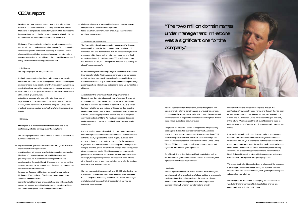

was a significant one for the company."

# CEO's.report

Despite a turbulent business environment in Australia and flat economic conditions in several of our key international markets, Melbourne IT completed a satisfactory year in 2002. To overcome lower earnings, we put in place a strategy and key building blocks for the long-term growth and prosperity of the company.

Melbourne IT's reputation for reliability, security, service quality and superior technologies were the key reasons for our continuing international growth and market leadership in Australia. These characteristics enabled us to attract important new international partners as resellers and to withstand the competitive pressures of deregulation in Australia during the second half.

- $-$  the business restructure into three major streams, Wholesale, Retail and Corporate Domain Management, to reflect the changed environment and focus specific growth strategies in each division;
- registration of our two millionth domain name under management; attainment of 602,000 gTLD renewals – more than three times the —
- 2001 level of gTLD renewals;
- establishing strategic alliances with major international organisations such as MSN Search, EarthLink, Interland, Pacific Access, NTT Smart Connect, Net4India and Jippii Group; and
- maintaining market leadership in Australia following deregulation in July.

#### *Highlights*

The major highlights for the year included :

- $-$  expansion of our global wholesale markets through our links with major international organisations;
- retention of market leadership in Australia through provision of a high level of customer service, value-added features, and providing a secure, trusted domain management service;
- development of Corporate Domain Management our consulting services are aimed at large public and private sector organisations in Australia and internationally;
- leverage our Research & Development activities to maintain Melbourne IT's asset base of intellectual property and create additional revenue streams;
- search for suitable mergers and acquisitions that will consolidate our market leadership position in domain name related activities and create other opportunities through diversification;

*Strategy*

**Our objective is to increase shareholder value and build sustainable, reliable earnings over the long term.**

The strategy upon which Melbourne IT's business is based can be summarised as follows :

- challenge all cost structures and business processes to ensure best practice and maximise earnings; and
- foster a work environment which encourages innovation and creativity by our people.

#### *Overview of operations*

The "two million domain names under management" milestone was a significant one for the company. It compared with 1.7 million for 2001 and demonstrated that we are continuing to build a business which has a high annuity income component. Total renewals registered in 2002 were 669,000, significantly up on the 2001 level of 254,000 - an important indicator of our ability to attract "repeat business".

> We see a positive outlook for Melbourne IT in 2003 and beyond. not-withstanding the uncertainties of global political and economic conditions. Based on early experience, the strategic alliances entered into in 2002 should generate an increasing flow of business which will underpin our international growth.

Of the revenue generated during the year, around 60% came from international markets. North America continued to be our largest market but there was pleasing growth in Europe and Asia where the domain name industry is still relatively under-developed. A high percentage of our international registrations came via our strategic alliances.

As detailed in the Chairman's Report, the performance of NeuLevel was the major disappointment of the year. The market for the new .biz domain names did not meet expectations and resulted in our write-down of the investment in NeuLevel which had been established as a registry of .biz names. One pleasing development for NeuLevel is the successful exclusive partnership with the Chinese registry to offer .com.cn and .cn to the global community outside of China. As NeuLevel increases its names under management, we expect the business to become a solid contributor.

In the Australian market, deregulation in July created an entirely new and unprecedented business environment. The domain name authority, auDA, separated the central registry business from registrar activities and set registry costs at \$50 for a two-year registration. The additional layer of costs impacted heavily on our margins even though we have held our average retail selling prices at pre-deregulation levels. We did experience some wholesale price erosion and some of our resellers became registrars in their own right, taking their registration business with them. On the other hand, the new environment did allow us to offer for the first time the entire .au suite of names.

Our new .au registrations were just over 57,000, slightly down on the 60,000 of the previous year, while renewals were just under 67,000 compared with nearly 70,000 in 2001. Given the changed marketplace in the second half, the retention of our market leadership was pleasing.

As new registrars entered the market, some attempted to win market share by offering domain names at unsustainable prices. Our continued focus has been to offer a high level of expertise and customer service to registrants interested in securing their domain name with a trusted and secure provider.

The growth of Corporate Domain Management (CDM) was very pleasing and it attracted business from some of Australia's largest and best known organisations. Initiatives to roll out CDM internationally resulted in our first major contract in early 2003 when we reached agreement with EarthLink in the United States. We see CDM as an important, high-value business stream with significant international growth potential.

Our offices in the United States and Spain contributed well to our international growth and provided us with important regional representation in these major markets.

### *Outlook*

International demand will gain new impetus through the proliferation of new country code names and through the relaxation of policies on country codes. Names such as .se (Sweden), .cn (China) and .eu (European Union) are expected to gain popularity in the future. We also expect the roll-out of broadband cable to create a resurgence of interest in online services including domain names.

In Australia, we will continue to develop products and services that add value to the basic domain name registration business. In late February 2003, we established a strategic alliance to offer e-commerce enabling services for small to medium enterprises and home offices. These services, which include entry level hosting and email, are expected to generate additional revenue for our Retail Division. By creating value-added services, we believe we can overcome the impact of the high registry costs.

We are continuing to drive costs down in all areas of the business, improving processes and re-engineering our systems. This will create a more cost-efficient company with greater productivity and enhanced service offerings.

We recognise the importance of deploying our cash resources wisely for the long-term benefit of shareholders and we are committed to do so in the coming year.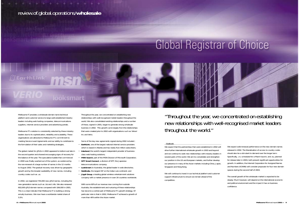### review.of.global.operations/**wholesale**

# **Global Registrar of Choice**



Melbourne IT provides a wholesale domain name technical platform and customer service to large well-established industry leaders including web hosting companies, telecommunications suppliers, internet service providers and advertising portals.

Melbourne IT's solution is consistently selected by these industry leaders due to its sophistication, reliability and scalability. These organisations are attracted to Melbourne IT's commitment to meeting Service Level Agreements and our ability to contribute to the formulation of their sales and marketing strategies.

The global market for gTLDs in 2002 appeared to bottom-out late in the second quarter and showed encouraging signs of recovery for the balance of the year. The speculative bubble that commenced in 2000 was finally washed out of the system, as evidenced by the non-renewal of a large number of names in the 12 months to August 2002. The gradual recovery was driven by geographic growth and by the broader availability of new names, including country codes such as .us.

- **EarthLink**, one of the largest national internet service providers which is based in Atlanta and has nearly five million subscribers;
- **Interland**, the world's largest independent provider of businessclass web hosting solutions;
- **MSN Search**, part of the MSN Division of Microsoft Corporation;
- **NTT Smart Connect**, a division of NTT, the Japanese telecommunications company;
- **LookSmart** (in Australia), the global leader in web directories;
- **Net4India**, the largest ISP on the Indian sub-continent; and
- **Jippii Group**, a leading global wireless entertainment solutions company with a market presence in over 20 countries worldwide.

In 2002, we registered 735,000 new gTLD names, including the new generation names such as .biz and .info. We also renewed 602,000 gTLD domain names compared with 184,000 in 2001. This is a clear indicator that Melbourne IT is building a strong annuity business. We now have a worldwide market share of 5.5%.

Throughout the year, we concentrated on establishing new relationships with well-recognised market leaders throughout the world. We also consolidated existing relationships and a number of these, signed in 2001, began to generate strong wholesale business in 2002. This growth came largely from the relationships that were created prior to 2002 with organisations such as Yahoo! Inc and Verio.

Some of the key new agreements signed during 2002 included :

With some 60% of our revenue now coming from outside Australia, the establishment and nurturing of these relationships has become a central part of Melbourne IT's growth strategy. Of particular note is that in 2002, Melbourne IT achieved a growth of more than 40% within the Asian market.

#### **Outlook**

We expect that the partnerships that were established in 2002 will drive further international wholesale growth in 2003 and beyond and we continue to seek new relationships with industry leaders in several parts of the world. We aim to consolidate and strengthen our position in the US and European markets, and further develop our presence in many of the Asian markets including China, Japan, Singapore and Hong Kong.

We will continue to invest in our technical platform and customer support infrastructure to ensure we remain ahead of the competition.

We expect solid renewal performance on the new domain names released in 2002. The liberalisation of access to country codes should also be a stimulant to demand over the longer term. Specifically, .cn, scheduled for a March launch, and .eu, planned for release later in 2003, both present significant opportunities for growth. In addition, the Internet Corporation for Assigned Names and Numbers (ICANN) will consider proposals for four new domain spaces during the second half of 2003.

The overall growth of the wholesale market is expected to be steady. Much however, will depend on the international economic and political environment and the impact it has on business confidence.

"Throughout the year, we concentrated on establishing new relationships with well-recognised market leaders throughout the world."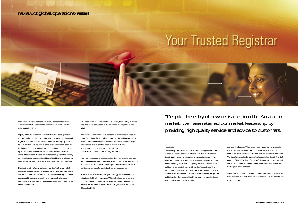Melbourne IT's retail services are largely concentrated in the Australian market. In addition to domain name sales, we offer value-added services.

In July 2002, the Australian .au market underwent significant regulatory change driven by auDA, which separated registry and registrar activities and awarded a tender for the registry services to AusRegistry. This resulted in considerable additional costs for Melbourne IT because auDA levies and registry fees increased by 390%. When the decision to separate the two streams was made, Melbourne IT decided not to tender to operate the registry as we believed that we could add considerably more value to our business by remaining a registrar. We continue to hold this view.

Despite the entry of new registrars into the Australian market, we have retained our market leadership by providing high quality service and advice to customers. This included helping customers understand the new rules applying to .au registrations and assisting them to register multiple domain names to protect their online brand names.

The positioning of Melbourne IT as a secure, trustworthy business resulted in our being seen in the market as the registrar of first choice.

Melbourne IT has also been successful in positioning itself as the "One Stop Shop" for Australian businesses for registering domain names and protecting brands online. We provide all of the major international and Australian domain names including :

Our retail operations are supported by the most experienced team of internet consultants in the Australian domain name industry. Our team is available 24 hours a day to provide our customers with advice on how best to maximise their online presence.

Overall, the Australian market grew strongly in the second half despite a slight fall in renewals. While all categories grew, the .com.au space continued to dominate the market, representing 96% of the 310,000 .au domain names registered at the end of December 2002.

#### *Outlook*

The volatility that hit the Australian market is expected to subside as the new regime settles in. We are confident the Australian domain name market will continue to grow during 2003. This growth should be generated by the increased availability of .au names resulting from the recent policy relaxation which allows multiple name registrations, and from the forecast growth in the number of SMEs (small to medium enterprises) and general internet users. Melbourne IT is well placed to access this growth and to build on the relationship of trust that we have developed with our wide retail customer base.

- International : .com, .net, .org, .biz, .info, .us, .name —
- Australian : .com.au, .net.au, .org.au, .asn.au —

Although Melbourne IT has largely been a domain name supplier in the past, we believe a major opportunity exists to supply customers with additional online services in the Australian market. We therefore launched a range of value-added services in the first quarter of 2003. The first of these offerings was a package of web solutions for SMEs and home offices, comprising entry-level web hosting and email services.

With the introduction of new technology platforms in 2003 we will have the resources to further enhance the services we offer to our retail customers.

### review.of.global.operations/**retail**

# Your Trusted Registrar



"Despite the entry of new registrars into the Australian market, we have retained our market leadership by providing high quality service and advice to customers."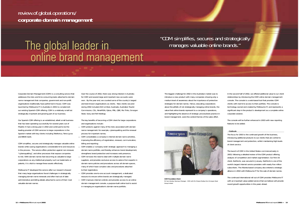### review.of.global.operations/ **corporate domain management**

Corporate Domain Management (CDM) is a consulting service that addresses the risks and time-consuming tasks attached to domain name management that companies, government and non-profit organisations traditionally have performed in-house. CDM was launched by Melbourne IT in Australia in 2001 to complement our existing Spanish CDM offering. CDM is a relatively small but strategically important and growing part of our business.

Our Spanish CDM offering is an established, albeit small business that has been operating successfully for several years out of Madrid. It had a strong year in 2002 and continued to be the leading provider of CDM services to large corporations in the Spanish market with key clients including Telefonica, Terra Lycos and BBVA bank.

CDM simplifies, secures and strategically manages valuable online brands while saving organisations considerable time and resources in the process. The service offers protection against non renewal, "cybersquatting", and other processes that expose companies to risk. With domain names fast becoming as valuable to large corporations as any intellectual property such as trademarks or patents, it is vital to manage these assets effectively.

Melbourne IT developed the service after our research showed that many large organisations faced challenges in strategically managing domain name renewals and often had out of date administrative and billing details attached to some of their most valuable domain names.

Over the course of 2002, there was strong interest in Australia for CDM and several large and important new accounts were won. By the year end, we counted some of the country's largest and best-known organisations as clients. New clients secured during 2002 included ASX Limited, Austrade, Australian Tourist Commission, CSL, NineMSN, Optus, PBL, QBE, Rio Tinto, Smorgon Steel, Sony and Toll Holdings.

The key benefits of becoming a CDM client for large corporations and organisations include :

- CDM protects against many of the risks associated with domain name management: for example, cybersquatting and the renewal process for important names;
- CDM consolidates a company's internal domain name activities, improving the efficiency of registration, renewal, communication, billing and reporting;
- CDM enables a 'company wide' strategic approach to managing a domain name portfolio, and thereby enhances brand development, strengthens brand protection and increases web presence;
- CDM removes the need to deal with multiple domain name suppliers, and provides exclusive access to advice from experts in domain name policies and procedures across all domain spaces, many of which have complex rules and procedures attached to their registration;
- CDM provides one-to-one account management, a dedicated resource to ensure online brands are strategically managed;
- CDM improves internal controls and provides access to an online domain management console, a purpose-built online tool to assist in managing an organisation's domain name portfolio.

The biggest challenge for 2002 in the Australian market was to introduce a new product with many companies showing only a medium level of awareness about the importance of protective strategies for domain names. Hence, educating corporations about the pitfalls of not strategically managing online brands, the value that online brands represent to a company's operations, and highlighting the absence of strategic process/best practice in brand management, were the central themes of the sales effort.

In the second half of 2002, we offered additional value to our client relationships by introducing the CDM online domain management console. The console is a web-based tool that provides CDM clients with real time access to their portfolio. The console is technology owned and created by Melbourne IT, and represents a significant step in the product's development as a complete online corporate solution.

The console will be further enhanced in 2003 with new reporting features to be added.

#### **Outlook**

The focus for 2003 is the continued growth of the business, introducing additional products to our clients that are central to brand management and protection, whilst maintaining high levels of client service.

The launch of CDM in the United States commenced early in 2003, following a detailed review of the CDM product offering, analysis of competition and market segmentation. Our first US client, EarthLink, was secured in January. EarthLink is one of the world's largest internet service providers with nearly five million subscribers. The Atlanta-based company also entered a strategic alliance in 2002 with Melbourne IT for the sale of domain names.

The continued international roll out of CDM provides Melbourne IT with an important value-added service that we believe will provide sound growth opportunities in the years ahead.



**CDM Foundation Client** Mr Sam Hendry, Business Manager - CDM with Ms Sharee Medley from Smorgon Steel Group Limited.

# "CDM simplifies, secures and strategically manages valuable online brands."

# The global leader in online brand management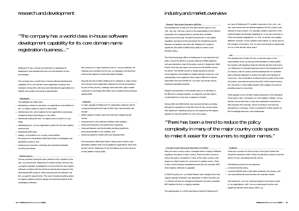Melbourne IT has a strong commitment to maintaining its leadership in the development and commercialisation of new technologies.

The company has a world class in-house software development capability for its core domain name registration business and maintains strong links with local and international organisations to identify new product and service opportunities.

#### **Highlights**

The highlights for 2002 were :

- developing a solution to pre-book .us registrations and interface to the .us registry ready for launch in April 2002;
- interfacing to the .name registry for live registrations (previously handled via batch technology) in June 2002;
- extensively testing the new .au registry prior to launch in July 2002;
- redeveloping our .com.au registration system for the new registry environment;
- developing CDM tools;
- adding .ca (Canada) to our country code portfolio; —
- the award of an AusIndustry R&D Start Grant to investigate next generation systems; and
- $-$  enhancing our business continuity plan and testing disaster recovery procedures.

A major upgrade of Melbourne IT's registration software will be conducted during the first half of 2003. Key improvements will include

#### **Performance**

The key activities during the year centred on the migration to the new .au environment. Melbourne IT worked closely with the new .au registry operator (AusRegistry) to ensure that the new registry software complied with the technical specifications based on the international EPP protocol, while ensuring that the software met the .au specific requirements. This work included providing advice on registry-registrar protocol design and extensive testing of the AusRegistry software.

We carried out a major overhaul of all our .com.au software. All software was rewritten for the new .au regulatory and technical environment against an extremely tight timetable.

Towards the end of 2002, Melbourne IT undertook a major review of its domain name registration software across all namespaces. As part of this process, meetings were held with major reseller customers to exchange information and to explore future business opportunities.

#### **Outlook**

The AusIndustry R&D Start Grant is being used to build a next generation platform that can be applied to applications other than domain names. Melbourne IT will be trialling some new services on this platform during 2003.

### industry.and.market.overview

**Generic Top Level Domains (gTLDs)**

The development of policy for the gTLD domain space (.com, .net, .org, .biz, .info and .name) is the responsibility of the Internet Corporation for Assigned Names and Numbers (ICANN) (http://www.icann.org). The gTLD environment is very lightly regulated, and abuse of the procedures for transferring names between competitors has been rife. Melbourne IT played a significant role within ICANN during 2002 to create a new transfers policy.

- The following outcomes are expected :
- a revised transfer policy;
- a revised WHOIS policy with better protection for privacy; and
- new specialised top level domains (for example .travel).

The Chief Technology Officer of Melbourne IT was elected to the policy council for gTLDs in January 2002 by ICANN registrars, and was elected as chair of the policy council in September 2002. Further work has also been commenced on the WHOIS service for gTLDs. The WHOIS service is widely abused by domain name registrars and resellers to target potential customers, and subsequently some registrars have made it difficult to retrieve information from the WHOIS for .com and .net domain names required to facilitate transfers.

Despite improvements in the transfer policy it is still likely to be difficult to manage transfers, as registrars can still make it complicated for an end user to approve a transfer.

During 2003 and 2004 further new top level domains are likely, although the experience in the last round of new names shows that significant marketing resources are required by the registry operator to raise the profile of a new name space.

**Country Code Top Level Domains (ccTLDs)** Policy for each country code is managed within a range of different regulatory structures in each country. There has been a trend to reduce the policy complexity in many of the major country code spaces to make it easier for consumers to register names. There is also a trend towards standardised protocols (for example, EPP) when registry software is upgraded.

- better support of retail customers that hold multiple domain names;
- improvements to the software interface with resellers; —
- enhanced transaction and performance reporting; —
- improved features and functionality providing significant processing benefits to our resellers; and
- enhanced speed to market with new developments. —

In 2002 the policy for .us (United States) was changed and a new registry operator (Neustar) was appointed. In 2003, the policy for .cn (China) will also be changed and Neustar has built a standard EPP interface for the .cn registry operator.

The opportunities in ccTLDs have been limited for Melbourne IT,

as many of Melbourne IT's reseller customers in the .com, .net and .org environment are already registrars for the country code relevant to their location. For example, reseller customers in the United Kingdom are already integrated to .co.uk and customers in China are already integrated to .cn. The .us domain was slightly different, however, as few resellers were selling .us names prior to the changes in the policy. The .eu name will provide an opportunity as it is a new domain name space.

#### **.au**

The development of policy for the .au domain space is the responsibility of the .au Domain Administration Limited (auDA), the industry self-regulatory body for Internet domains that end in .au. Melbourne IT provided extensive input to the development of an industry code of conduct and the development of a transfers policy between registrars to protect the rights and interests of consumers. The combination of enforcement by auDA of the Code of Conduct, and enforcement by the ACCC of the *Trade Practices Act*, has led to a more stable industry with suppliers focused on providing value to consumers.

There appears to be a limited market awareness of the relaxation of the policy rules. Companies can now register multiple .com.au domain names that have a close and substantial connection to their business (for example, names of products and services provided by a company). There is potential for further growth as this knowledge becomes more widespread.

#### **Outlook**

There are a number of critical issues in the gTLD market that should be resolved in 2003. These include policy revisions and the launch of new, specialised domain names.

The outlook for .au is for continued growth in the total number of .au registrations, with .com.au continuing to be the most significant domain name space within .au.

### "The company has a world class in-house software development capability for its core domain name registration business..."

### "There has been a trend to reduce the policy complexity in many of the major country code spaces to make it easier for consumers to register names."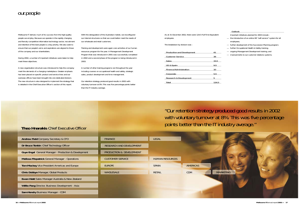### our.people

Melbourne IT derives much of its success from the high-quality people we employ. Because we operate in the rapidly changing and fiercely competitive information technology sector, recruitment and retention of the best people is a key priority. We also seek to ensure that our people's aims and aspirations are aligned to those of the company and our shareholders.

During 2002, a number of important initiatives were taken to help meet these objectives.

A new organisation structure was introduced to help the company meet the demands of a changing marketplace. Greater emphasis has been placed on specific product and service lines and our overseas offices have been brought into one dedicated division. The new structure is also designed to implement the strategy that is detailed in the Chief Executive Officer's section of this report.

With the deregulation of the Australian market, we reconfigured our internal structures so that we could better meet the needs of our wholesale and retail customers.

Training and development were again core activities of our human resources program for the year. A Management Development Program that was introduced in 2001 was successfully completed in 2002 and a second phase of the program is being introduced in 2003.

A number of other training programs ran throughout the year including courses on occupational health and safety, strategic sales, product development and time management.

Our retention strategy produced good results in 2002 with voluntary turnover at 8%. This was five percentage points better than the IT industry average.

As at 31 December 2002, there were 124.5 Full-Time Equivalent employees.

The breakdown by division was :

| <b>Production and Development</b> | 41    |
|-----------------------------------|-------|
| <b>Customer Service</b>           | 38    |
| Sales                             | 15.5  |
| <b>US &amp; Spain</b>             | 9.5   |
| <b>Finance/Administration</b>     | 10    |
| Corporate                         | 5.5   |
| <b>Research &amp; Development</b> | 5     |
| Total                             | 124.5 |

### *Outlook*

"Our retention strategy produced good results in 2002 with voluntary turnover at 8%. This was five percentage points better than the IT industry average."

- Important initiatives planned for 2003 include : the introduction of an online HR "self-service" system for all employees;
- further development of the Succession Planning program;
- further Occupational Health & Safety training;
- $-$  ongoing Management Development training; and
- improvements to our customer relations systems. —



| <b>Andrew Field Company Secretary &amp; CFO</b>                  | <b>FINANCE</b>           | <b>LEGAL</b>           |                 |                  |
|------------------------------------------------------------------|--------------------------|------------------------|-----------------|------------------|
| Dr Bruce Tonkin Chief Technology Officer                         | RESEARCH AND DEVELOPMENT |                        |                 |                  |
| <b>Guye Engel General Manager - Production &amp; Development</b> | PRODUCTION & DEVELOPMENT |                        |                 |                  |
| <b>Melissa Fitzpatrick General Manager - Operations</b>          | <b>CUSTOMER SERVICE</b>  | <b>HUMAN RESOURCES</b> |                 |                  |
| <b>Tom Mackey Vice President Americas and Europe</b>             | <b>EUROPE</b>            | <b>SPAIN</b>           | <b>AMERICAS</b> |                  |
| <b>Chris Dobbyn Manager, Global Products</b>                     | <b>WHOLESALE</b>         | <b>RETAIL</b>          | <b>CDM</b>      | <b>MARKETING</b> |
| Ewan Watt Sales Manager Australia & New Zealand                  |                          |                        |                 |                  |
| Willie Pang Director, Business Development - Asia                |                          |                        |                 |                  |
| Sam Hendry Business Manager - CDM                                |                          |                        |                 |                  |
|                                                                  |                          |                        |                 |                  |

### **Theo Hnarakis** Chief Executive Officer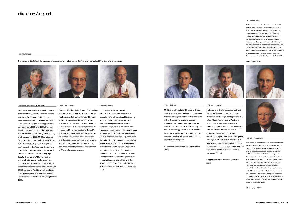### directors'.report

#### *Robert Stewart* (Chairman)

Mr Stewart was National Managing Partner of Minter Ellison, one of Australia's leading law firms, for 11 years, retiring in June 1999. He was also a non executive director of Memtec Ltd, a high technology filtration company, from 1988 until 1997. Memtec listed on NASDAQ and then the New York Stock Exchange prior to being taken over by a US company in 1997. Mr Stewart spent five years with Pacific Dunlop from 1976 to 1981 in a variety of general management positions within the Footwear Group. He is also Chairman of Forest Enterprise Australia Limited, a plantation forestry company; Deputy Chairman of eMitch Limited, an online advertising and media placement company; a Director of Uecomm Limited, a telecommunications carrier; and Chairman of QSR International Pty Ltd, which produces qualitative research software. Mr Stewart was appointed to the Board on 14 September 1999.

*Iain Morrison* 



Professor Morrison is Professor of Information Systems at The University of Melbourne and has been closely involved for over 10 years in the development of the Internet within Australia and in the effective applications of IT to business. He is a Founding Director of Melbourne IT. He was elected to the auDA Board on 7 October 1999, and retired on 26 November 2001. He serves as an Advisor and Consultant to government and the higher education sector on telecommunications, copyright, online legislation and applications of IT and information systems.

#### *Mark Toner*

Dr Toner is the former managing director of Kvaerner E&C Australia, a subsidiary of the international Engineering & Construction group, Kvaerner E&C which is headquartered in London. Dr Toner's background is in marketing and management with a career focus on science and engineering, including IT and biotech. His qualifications include a BE(Chem) from the University of Melbourne and a PhD from Monash University. Dr Toner is President of the Institution of Chemical Engineers in Australia and President of the Business/ Higher Education Round Table, an Adjunct Professor in the Faculty of Engineering at Monash University and a Fellow of the Institution of Engineers Australia. Dr Toner was appointed to the Board on 1 February 2001.



### *Tom Kiing\**

Mr Kiing is a Foundation Director of Bridge Capital, an Australian technology investment firm that manages a portfolio of investments in the IT sector. He travels extensively through the ASEAN region to promote joint investments in the Australian IT industry and to seek market opportunities for Australian firms. Mr Kiing and interests associated with him, hold approximately 13% of the issued capital of the company.

*\* Appointed to the Board on 19 December 2002*.

*Simon Jones\**

Mr Jones is a Chartered Accountant and the former Managing Director of N.M. Rothschild and Sons (Australia) Melbourne office. Also a former head of Audit and Business Advisory (Australia & New Zealand), Corporate Finance (Melbourne), of Arthur Andersen. He has extensive experience in investment advisory, valuations, mergers and acquisitions, public offerings, audit and venture capital. He is now a Director of Canterbury Partners Pty Ltd which is a boutique investment advisory and venture capital business located in Melbourne, Victoria.

*\* Appointed to the Board on 12 March 2003.*

#### *Colin Adam\**

Dr Adam retired from the Commonwealth Scientific and Industrial Research Organisation (CSIRO) in 2001 having previously acted as chief executive and special advisor to the new Chief Executive. He was responsible for commercial activities of the organisation. He serves as a Board member for a number of companies, including the Strategic Industry Research Foundation and Ceramic Fuel Cells Ltd. He also holds a non executive Board position with the Australia – Indonesia Institute and the Board of the Australian Universities Quality Agency. Dr Adam was appointed to the Board on 22 April 1999.

*\* Retiring April 2003.*





#### **DIRECTORS**

#### *Kevin Courtney\**

Mr Courtney is a Chartered Accountant and a former regional managing partner of Ernst & Young. He is a Director of Adacel Technologies Limited, a Director of two National Australia Bank Group companies and Chairman of the Audit & Risk Management Committee of the National Competition Council. He is also a Board member of DOXA Foundation, which works with under-privileged youth. Mr Courtney has held a number of appointments including commissioner of the City of Melbourne, a member of the Victorian Work Cover Authority, a member of the Sunraysia Rural Water Authority and a director of Connect.com.au, the Internet service provider sold to AAPT Limited. Mr Courtney was appointed to the Board on 22 October 1999.

*\* Retiring April 2003.*

The names and details of the directors of the company in office during the financial year and until the date of this report are :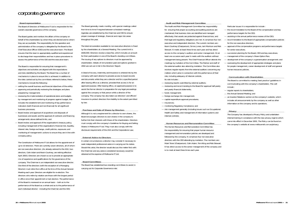### corporate.governance

#### **Board representation**

The Board of Directors of Melbourne IT Ltd is responsible for the overall corporate governance of the company.

The Board guides and monitors the affairs of the company on behalf of the shareholders by whom they are elected and to whom they are accountable. The responsibility for the operation and administration of the company is delegated by the Board to the Chief Executive Officer (CEO) and the executive team. The Board ensures that this team is appropriately qualified and experienced to discharge their responsibilities and has in place procedures to assess the performance of the CEO and the executive team.

The Board is responsible for ensuring that management's objectives and activities are aligned with the expectations and risks identified by the Board. The Board has a number of mechanisms in place to ensure this is achieved. In addition to the roles carried out by the committees referred to below, these mechanisms include the following :

- setting the overall business and financial objectives of the entity;
- approving and periodically reviewing the strategies and plans prepared by management;
- reviewing the implementation of operational plans and budgets by management and monitoring of progress against budget, this includes the establishment and monitoring of key performance indicators (both financial and non-financial) for all significant business processes;
- Board review and approval of acquisitions and disposals of businesses and assets and the approval of contracts and financing arrangements above defined limits; and
- Board review and approval of the organisation's treasury policy, including management of the organisation's financial risk, liquidity, interest rate, foreign exchange, credit policies, exposures and monitoring of management's actions to ensure they are in line with company policy.

The Constitution of Melbourne IT Ltd allows for the appointment of up to 10 directors. There are currently seven directors, all of whom are non executive directors. (As already advised to the ASX, two directors, Colin Adam and Kevin Courtney, are retiring effective April 2003.) Directors are chosen so as to provide an appropriate mix of experience and qualifications for the governance of the company. The Chairman is an independent non executive director. One third of the directors (with the exception of a Managing Director) must retire from office at the time of the Annual General Meeting each year. Directors are eligible for re-election. The directors who retire by rotation are those with the longest period in office since their appointment or last election. The performance of the Board is reviewed on an annual basis – both as to the performance of the Board as a whole and as to the performance of each individual director - including the Chairman and the CEO.

The Board generally meets monthly, with special meetings called from time to time if required between scheduled meetings. Agendas are established by the Chairman and CEO to ensure proper coverage of strategic, financial and major risk areas throughout the year.

- reviewing reports submitted by external auditors;
- reviewing and recommending to the Board for approval half-yearly and yearly financial statements;
- funds management; —
- foreign exchange risk management;
- capital expenditure approval procedures; —
- insurances;
- monitoring Regulatory Compliance; and —
- risk management generally (including issues such as Occupational Health and Safety and management of information systems and internal controls).

The total remuneration available to non executive directors is fixed by the shareholders at a General Meeting. The current limit is \$500,000. Directors receive a base fee, which includes an amount for their participation in one of the Board's standing committees. The issuing of any options to directors must be approved by shareholders. Details of remuneration paid and options granted in 2002 are set out in full in the Directors' Report.

A Deed of Access, Indemnity and Insurance is entered into by the company with each director to provide access to board records and documents while they are a director and for a specified period after leaving office as a director, provided that access is for an approved purpose. After leaving office, an approved purpose is to assist the former director in preparation for any legal proceedings against the company or that person while a director of the company. The company has also taken out directors' and officers' insurance to protect directors from liability to the extent permitted by law.

**Purchase and Sale of Shares by Directors** Although it is not a requirement for a director to own shares, the Board encourages directors to own shares in the company to further link their interests with those of the shareholders. Directors must comply with the company's Guidelines for Buying and Selling Shares in Melbourne IT Ltd. They must also comply with the disclosure requirements of the ASX and the Corporations Law.

#### **External Advice to Directors**

In certain circumstances a director may consider it necessary to seek independent professional advice in carrying out his duties. Should this arise, the director would discuss the matter first with the Chairman and any advice considered necessary would be obtained at the expense of Melbourne IT Ltd.

#### **Board Committees**

The Board has established two standing committees to assist in carrying out its Corporate Governance role.

**Audit and Risk Management Committee** The Audit and Risk Management Committee has responsibility for ensuring that proper accounting and auditing practices are maintained; that business risks are identified and managed effectively; that assets are protected against financial loss; and that legal and regulatory obligations are met. It comprises four non executive and independent directors. The current members are : Kevin Courtney (Chairperson), Simon Jones, Iain Morrison and Rob Stewart. It meets at least three times each year and has direct access to the company's auditors and senior management. On at least one occasion each year it meets with the auditors without management being present. The Chief Financial Officer attends the meetings by invitation of the Committee. The Partner and staff of the external auditor also attend by invitation. The Committee also receives regular reports from the external auditors concerning any matters which arise in connection with the performance of their role, including adequacy of internal controls. Its role includes :

**Human Resources and Remuneration Committee** The Human Resources and Remuneration Committee has the responsibility for ensuring that proper human resource management and remuneration policies are developed and followed by the company. It comprises four non executive directors with the CEO attending by invitation. The members are : Mark Toner (Chairperson), Colin Adam, Tom Kiing and Rob Stewart. It has direct access to the senior management of the company and is to meet at least three times each year.

- Particular issues it is responsible for include :
- the recommendation to the Board of the compensation and key performance targets for the CEO;
- assisting in the annual performance review of the CEO;
- recommendation to the Board of appropriate compensation policies for the non executive directors;
- approval of the compensation programs and performance targets for senior executives;
- succession planning for the Board, CEO and key executives; — management of the company's Share Option Plan;
- development of the company's superannuation arrangement; and — overseeing the development of appropriate strategies and plans for people management, career development of staff and general human resources policies.

#### **Communication with Shareholders**

- The Board is committed to meeting 'best practice' guidelines in communicating with the company's shareholders. This will include :
- $-$  regular reports to shareholders;
- the Annual General Meeting; and
- an Investor Relations section on the company's website, which includes all announcements by the company as well as other information on the company and its operations.

#### **Privacy**

The Company has developed a Privacy Policy and undertaken internal training in compliance with the new privacy regime which came into effect in December 2001. The Policy can be found on the company's website at www.melbourneit.com.au/privacy.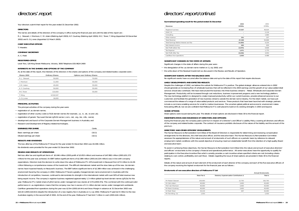Your directors submit their report for the year ended 31 December 2002.

#### **DIRECTORS**

The names and details of the directors of the company in office during the financial year and until the date of this report are : R. J. Stewart; I. Morrison; C. M. Adam (Retiring April 2003); K.F. Courtney (Retiring April 2003); M.C. Toner; T. Kiing (Appointed 19 December 2002) and S. D. Jones (Appointed 12 March 2003).

#### **CHIEF EXECUTIVE OFFICER**

T. Hnarakis

#### **COMPANY SECRETARY**

A. C. Field

### **REGISTERED OFFICE**

Level Two, 120 King Street Melbourne, Victoria, 3000 Telephone (03) 8624 2400

#### **INTERESTS IN THE SHARES AND OPTIONS OF THE COMPANY**

As at the date of this report, the interests of the directors in the shares and options of the company and related bodies corporate were :

| Shares 2002    | <b>Ordinary Shares</b> | <b>Options over Ordinary Shares</b> |  |
|----------------|------------------------|-------------------------------------|--|
| R. J. Stewart  | 50,000                 | 70,000                              |  |
| I. Morrison    | 11,000                 | 35,000                              |  |
| C.M. Adam      | 45,000                 | 35,000                              |  |
| K. F. Courtney | 50,000                 | 35,000                              |  |
| M.C Toner      | 110,000                | 35,000                              |  |
| T. Kiing       | 6,516,547              | $\overline{\phantom{a}}$            |  |
| S. D. Jones    | 18,000                 | ۰                                   |  |

#### **PRINCIPAL ACTIVITIES**

The principal activities of the company during the year were:

| <b>EARNINGS PER SHARE</b>  | Cents  |
|----------------------------|--------|
| Basic earnings per share   | (10.1) |
| Diluted earnings per share | (10.1) |

#### **RESULTS AND DIVIDENDS**

The loss after-tax of the Melbourne IT Group for the year ended 31 December 2002 was \$5.046 million. No dividends were provided for the year ended 31 December 2002.

#### **REVIEW AND RESULTS OF OPERATIONS**

Net loss after tax and significant items of \$5.046 million (2001:profit of \$3.053 million) and revenue of \$47.882 million (2001:\$51.272 million) for the year was achieved. An EBIT before significant items of \$2.389 million (2001:\$4.224 million) was in line with company expectations. Directors took the decision to write down the value of Melbourne IT's 10% investment in NeuLevel from \$7.9 million to \$1.06 million following a comprehensive review of the investment. The difficult international market and the slow take-up of the new .biz domain names have impacted heavily on NeuLevel's business. The EBIT before significant items of \$2.389 million was achieved in the challenging environment faced by the company in 2002. Melbourne IT faced a greatly changed domain name environment in Australia with the introduction of competition, however, continued to demonstrate its strength in the international market with over 60% of total revenue now being export income. The company's registrar business registered approximately 1.3 million global top level domain names (gTLDs) for the year. Melbourne IT's market share of gTLD names under management now stands at 5.5% (2001:5%). This combined with the continued solid performance in .au registrations means that the company now has in excess of 2.1 million domain names under management worldwide. Cashflow generated from operations during the year was \$2.9m (2001:\$4.4m) and Gross Margin in advance at 31 December 2002 was \$10.4m (2001:\$10.6m) despite the introduction of a new registry fee in Australia on 1 July 2002. Melbourne IT paid \$2.9 million to the new Australian registry in the second half of 2002. At the end of the year, Melbourne IT had \$14.7 million in cash (2001:\$16 million).

## directors'.report

#### **Summarised operating result for the period ended 31 December**

| Jummarised operating result for the period ended 31 December | 2002                     | 2001    |
|--------------------------------------------------------------|--------------------------|---------|
| Revenue                                                      | \$′000s                  | \$′000s |
| Registrar business                                           | 47,067                   | 46,624  |
| ASAC 21                                                      |                          | 2,134   |
| Consulting                                                   | $\overline{\phantom{a}}$ | 1,683   |
| Other revenue                                                | 331                      | 227     |
| <b>Total Revenue</b>                                         | 47,398                   | 50.668  |
| Total Earnings Before Interest and Tax                       | (4, 459)                 | 4,224   |
| Net Interest Income                                          | 484                      | 604     |
| Net Profit before Tax                                        | (3, 975)                 | 4.828   |
| Tax Expense                                                  | 1,071                    | 1.775   |
| Net Profit After Tax                                         | (5,046)                  | 3,053   |
| Cashflow from operations                                     | 2,900                    | 4,488   |

#### **SIGNIFICANT CHANGES IN THE STATE OF AFFAIRS**

Significant changes in the state of affairs during the year were :

#### **SIGNIFICANT EVENTS AFTER THE BALANCE DATE** No significant events have occurred after the balance date and up to the date of this report that require disclosure.

#### **LIKELY DEVELOPMENTS AND EXPECTED RESULTS**

- registration of .au domain names; —
- registration of other country code (ccTLD) domain names (for example, .us, .it, .de, .to and .uk); —
- registration of generic Top Level Domain (gTLD) names (.com, .net, .org, .biz, .info, .name);
- development and launch of the Corporate Domain Management business in Australia; and
- Research and Development of Registry-related technologies. —

Despite the challenges of 2002, we believe the outlook for Melbourne IT is positive. The global strategic alliances entered into in 2002 should generate an increasing flow of wholesale business that will be reflected in the 2003 earnings and the growth of our value-added retail services should also contribute. We have restructured the business into three business streams – Retail, Wholesale and Corporate Domain Management. Productivity will be increased through cost reductions, business improvement programs and a new technology platform. The new technology platform is designed to create improved productivity within our current business, provide enhanced services to our customers and facilitate the generation of new business streams outside the domain name industry. For the retail market, we have just commenced the release of a range of value-added products and services. These products that have been launched with strategic partners include e-commerce enabling services for small to medium businesses. The uncertain global political and economic environment makes forecasting difficult, but we are confident that Melbourne IT is well placed to build on its existing strengths in 2003 and beyond.

#### **SHARE OPTIONS**

Share options were issued during the year. The details of share options are disclosed in Note 30 to the financial report.

**INDEMNIFICATION AND INSURANCE OF DIRECTORS AND OFFICERS** During the financial year, the company paid a premium in respect of a Director's and Officer's Liability Policy covering all directors and officers of the company and related bodies corporate. The contract of insurance prohibits disclosure of the nature of the liability and the amount of the premium.

- the deregulation of the .au domain name market on 1 July 2002; and —
- the write-down of the Neulevel Investment as discussed in the Review and Results of Operation. —

#### **DIRECTORS' AND OTHER OFFICERS' EMOLUMENTS**

The Human Resource & Remuneration Committee of the Board of Directors is responsible for determining and reviewing compensation arrangements for the directors, the chief executive officer, and the executive team. The Human Resource & Remuneration Committee assesses the appropriateness of the nature and amount of emoluments of such officers on a periodic basis by reference to relevant employment market conditions with the overall objective of ensuring maximum stakeholder benefit from the retention of a high-quality Board and executive team.

To assist in achieving these objectives, the Human Resource & Remuneration Committee links the nature and amount of executive directors' and officers' emoluments to the company's financial and operational performance. All senior executives have the opportunity to qualify for participation in the Executive Incentive Plan which currently provides a cash incentive where specified criteria are met (including criteria relating to cost control, profitability and cash flow). Details regarding the issue of share options are provided in Note 30 to the financial reports.

Details of the nature and amount of each element of the emolument of each director of the company and each of the five executive officers of the company receiving the highest emolument for the financial year are as follows :

#### **Emoluments of non executive directors of Melbourne IT Ltd**

|             |                                           | <b>Annual Emoluments</b> |  |
|-------------|-------------------------------------------|--------------------------|--|
| Base Fee \$ | Statutory Superannuation Contributions \$ | Total \$                 |  |
| 150,000     | 12.750                                    | 162,750                  |  |
| 40,000      | 3,400                                     | 43,400                   |  |
| 40,000      | 3,400                                     | 43,400                   |  |
| 40,000      | 3,400                                     | 43,400                   |  |
| 43,133      | 267                                       | 43,400                   |  |
| 1.553       | $\sim$                                    | 1.553                    |  |
|             |                                           |                          |  |

### directors'.report/*continued*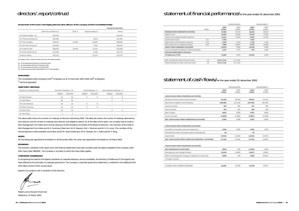### directors'.report/*continued*

#### **Emoluments of the seven most highly paid executive officers of the company and the Consolidated Entity**

|                        |                       |                          |                   | <b>Annual Emoluments</b> |
|------------------------|-----------------------|--------------------------|-------------------|--------------------------|
|                        | Base Fee and Bonus \$ | Other \$                 | Superannuation \$ | Total \$                 |
| Mr Adrian Kloeden (2)  | 419.307               | $\overline{\phantom{a}}$ |                   | 419,307                  |
| Mr Thomas Mackey (4)   | 302,390               | ۰                        | 9,071             | 311,461                  |
| Mr Theo Hnarakis       | 258,275               | 19,505                   | 18,875            | 296,655                  |
| Ms Anh Van Truong (4)  | 233,640               | $\overline{\phantom{a}}$ | 7,007             | 240,647                  |
| Mr Andrew Field        | 188,044               | 33,000                   | 14,162            | 235,206                  |
| Mr Scott Arbuthnot (3) | 211,838               |                          | 9,333             | 221,171                  |
| Dr Bruce Tonkin        | 203,153               | $\overline{\phantom{a}}$ | 12,574            | 215,727                  |

The category "Other" includes the value of any non-cash benefits provided.

(1) Mr Tom Kiing joined the Board on 19 December 2002

(2) Mr Adrian Kloeden left MLB on 8 November 2002

(3) Mr Scott Arbuthnot left MLB on 15 October 2002 (4) These personnel are paid through INWW US Inc in USD equivalents.

### **EMPLOYEES**

The consolidated entity employed 124.5<sup>(i)</sup> employees as at 31 December 2002 (2001:118<sup>(i)</sup> employees)  $<sup>(i)</sup>$  Full-Time Equivalent</sup>

#### **DIRECTORS' MEETINGS**

| Number of meetings held |          | Directors' Meetings: 14 | Audit Meetings: 5        |                          |          |                          | <b>Remuneration Meetings: 4</b> |  |  |
|-------------------------|----------|-------------------------|--------------------------|--------------------------|----------|--------------------------|---------------------------------|--|--|
|                         | Eligible | Attended                | Eligible                 | Attended                 | Eligible | Attended                 |                                 |  |  |
| Mr Rob Stewart          | 14       | 14                      |                          | b                        |          |                          |                                 |  |  |
| Dr Colin Adam           | 14       | 14                      | $\sim$                   | $\overline{\phantom{a}}$ |          |                          |                                 |  |  |
| Prof. Iain Morrison     | 14       | 14                      |                          |                          |          | $\overline{\phantom{a}}$ |                                 |  |  |
| Mr Kevin Courtney       | 14       | 14                      |                          |                          | ٠        | $\overline{\phantom{a}}$ |                                 |  |  |
| Dr Mark Toner           | 14       | 14                      | $\sim$                   |                          |          |                          |                                 |  |  |
| Mr Tom Kiing            |          |                         | $\overline{\phantom{a}}$ |                          |          | ٠                        |                                 |  |  |

The above table shows the numbers of meetings of directors held during 2002. The table also shows the number of meetings attended by each director and the number of meetings each director was eligible to attend. As at the date of this report, the company had an Audit & Risk Management Committee and a Human Resource & Remuneration Committee of the Board of Directors. The members of the Audit & Risk Management Committee are Mr K. Courtney (Chairman), Mr R. Stewart, Prof. I. Morrison and Mr S. D. Jones. The members of the Human Resource & Remuneration Committee are Dr M. Toner (Chairman), Mr R. Stewart, Dr C. Adam and Mr T. Kiing.

#### **NOTES**

Mr Tom Kiing was appointed to the Board on 19 December 2002. Mr Jones was appointed to the Board on 12 March 2003.

#### **ROUNDING**

The amounts contained in this report and in the financial statements have been rounded under the option available to the company under ASIC Class Order 98/0100. The company is an entity to which the Class Order applies.

#### **CORPORATE GOVERNANCE**

In recognising the need for the highest standards of corporate behaviour and accountability, the directors of Melbourne IT Ltd support and have adhered to the principles of corporate governance. The company's corporate governance statement is contained in the additional ASX information section of this annual report.

Signed in accordance with a resolution of the directors.

Robert James Stewart (Chairman) Melbourne, 27 March 2003

## statement.of.financial.performance/for the year ended 31 december 2002

|                  |                 | CONSOLIDATED    |                 | <b>MELBOURNE IT</b> |  |
|------------------|-----------------|-----------------|-----------------|---------------------|--|
| <b>Notes</b>     | 2002<br>\$′000s | 2001<br>\$′000s | 2002<br>\$′000s | 2001<br>\$′000s     |  |
|                  | 47,882          | 51.272          | 46,646          | 48,212              |  |
|                  | 22,864          | 19,590          | 22,510          | 17.909              |  |
|                  | 12,017          | 13.994          | 9,969           | 12,076              |  |
| 3 <sub>(c)</sub> | 7,054           |                 | 7,054           |                     |  |
| 3(a)             | 2.063           | 1.913           | 1.746           | 1.583               |  |
| 3(b)             | 7.859           | 10.947          | 9.745           | 12.646              |  |
|                  | (3, 975)        | 4,828           | (4, 378)        | 3,998               |  |
|                  | 1,071           | 1.775           | 976             | 1.358               |  |
|                  |                 |                 |                 |                     |  |
|                  | (5,046)         | 3,053           | (5, 354)        | 2,640               |  |
|                  |                 |                 |                 |                     |  |
| 26               | $(10.1)$ cents  | 6.1 cents       |                 |                     |  |
| 26               | $(10.1)$ cents  | 6.1 cents       |                 |                     |  |
|                  |                 |                 |                 |                     |  |

### statement.of.cash flows/for the year ended 31 december 2002

|                                                          |                 | CONSOLIDATED    |                 | <b>MELBOURNE IT</b> |  |
|----------------------------------------------------------|-----------------|-----------------|-----------------|---------------------|--|
|                                                          | 2002<br>\$'000s | 2001<br>\$'000s | 2002<br>\$'000s | 2001<br>\$'000s     |  |
| CASH FLOWS FROM OPERATING ACTIVITIES                     |                 |                 |                 |                     |  |
| Receipt of service revenue and recoveries                | 51,023          | 46.959          | 49,957          | 43,745              |  |
| Payments to suppliers and employees                      | (46, 586)       | (41, 134)       | (45, 764)       | (35, 760)           |  |
| Interest received                                        | 484             | 595             | 472             | 595                 |  |
| Grant received                                           | 300             | 200             | 300             | 200                 |  |
| Bank charges                                             | (461)           | (476)           | (447)           | (464)               |  |
| Income tax paid                                          | (1,860)         | (1,656)         | (1,861)         | (1,656)             |  |
| NET CASH FLOWS FROM OPERATING ACTIVITIES                 | 2.900           | 4.488           | 2,657           | 6.660               |  |
|                                                          |                 |                 |                 |                     |  |
| <b>CASH FLOWS FROM INVESTING ACTIVITIES</b>              |                 |                 |                 |                     |  |
| Acquisition of property, plant and equipment             | (220)           | (294)           | (220)           | (126)               |  |
| Proceeds from sales of property, plant and equipment     | 26              | $\sim$          | 26              | $\sim$              |  |
| Investments                                              | (3,522)         | (3,350)         | (3,522)         | (3, 474)            |  |
| NET CASH FLOWS FROM (USED IN) INVESTING ACTIVITIES       | (3,716)         | (3,644)         | (3,716)         | (3,600)             |  |
|                                                          |                 |                 |                 |                     |  |
| <b>CASH FLOWS FROM FINANCING ACTIVITIES</b>              |                 |                 |                 |                     |  |
| <b>NET INCREASE IN CASH HELD</b>                         | (816)           | 844             | (1,059)         | 3.060               |  |
| Add opening cash brought forward                         | 15,976          | 14,982          | 14,877          | 14,824              |  |
| Effect of exchange rate changes on balances of cash held | (469)           | 150             | (390)           | (3,007)             |  |
| in foreign currency                                      |                 |                 |                 |                     |  |
|                                                          |                 |                 |                 |                     |  |
| CLOSING CASH CARRIED FORWARD                             | 14,691          | 15.976          | 13,428          | 14,877              |  |
|                                                          |                 |                 |                 |                     |  |

|                                                          |                 | CONSOLIDATED    |                 | <b>MELBOURNE IT</b> |  |
|----------------------------------------------------------|-----------------|-----------------|-----------------|---------------------|--|
|                                                          | 2002<br>\$'000s | 2001<br>\$'000s | 2002<br>\$'000s | 2001<br>\$'000s     |  |
| CASH FLOWS FROM OPERATING ACTIVITIES                     |                 |                 |                 |                     |  |
| Receipt of service revenue and recoveries                | 51,023          | 46,959          | 49,957          | 43,745              |  |
| Payments to suppliers and employees                      | (46, 586)       | (41, 134)       | (45, 764)       | (35, 760)           |  |
| Interest received                                        | 484             | 595             | 472             | 595                 |  |
| Grant received                                           | 300             | 200             | 300             | 200                 |  |
| <b>Bank charges</b>                                      | (461)           | (476)           | (447)           | (464)               |  |
| Income tax paid                                          | (1,860)         | (1,656)         | (1,861)         | (1,656)             |  |
| NET CASH FLOWS FROM OPERATING ACTIVITIES                 | 2,900           | 4,488           | 2,657           | 6.660               |  |
| CASH FLOWS FROM INVESTING ACTIVITIES                     |                 |                 |                 |                     |  |
| Acquisition of property, plant and equipment             | (220)           | (294)           | (220)           | (126)               |  |
| Proceeds from sales of property, plant and equipment     | 26              |                 | 26              |                     |  |
| Investments                                              | (3,522)         | (3,350)         | (3,522)         | (3, 474)            |  |
| NET CASH FLOWS FROM (USED IN) INVESTING ACTIVITIES       | (3,716)         | (3,644)         | (3,716)         | (3,600)             |  |
| CASH FLOWS FROM FINANCING ACTIVITIES                     |                 |                 |                 |                     |  |
| <b>NET INCREASE IN CASH HELD</b>                         | (816)           | 844             | (1,059)         | 3,060               |  |
| Add opening cash brought forward                         | 15,976          | 14,982          | 14,877          | 14,824              |  |
| Effect of exchange rate changes on balances of cash held | (469)           | 150             | (390)           | (3,007)             |  |
| in foreign currency                                      |                 |                 |                 |                     |  |
|                                                          |                 |                 |                 |                     |  |
| CLOSING CASH CARRIED FORWARD                             | 14,691          | 15,976          | 13,428          | 14,877              |  |
|                                                          |                 |                 |                 |                     |  |

|                                                          | CONSOLIDATED    |                 | <b>MELBOURNE IT</b> |                 |  |
|----------------------------------------------------------|-----------------|-----------------|---------------------|-----------------|--|
|                                                          | 2002<br>\$'000s | 2001<br>\$'000s | 2002<br>\$'000s     | 2001<br>\$'000s |  |
| CASH FLOWS FROM OPERATING ACTIVITIES                     |                 |                 |                     |                 |  |
| Receipt of service revenue and recoveries                | 51,023          | 46,959          | 49,957              | 43,745          |  |
| Payments to suppliers and employees                      | (46, 586)       | (41, 134)       | (45, 764)           | (35, 760)       |  |
| Interest received                                        | 484             | 595             | 472                 | 595             |  |
| Grant received                                           | 300             | 200             | 300                 | 200             |  |
| <b>Bank charges</b>                                      | (461)           | (476)           | (447)               | (464)           |  |
| Income tax paid                                          | (1,860)         | (1,656)         | (1,861)             | (1,656)         |  |
| NET CASH FLOWS FROM OPERATING ACTIVITIES                 | 2.900           | 4.488           | 2,657               | 6.660           |  |
|                                                          |                 |                 |                     |                 |  |
| <b>CASH FLOWS FROM INVESTING ACTIVITIES</b>              |                 |                 |                     |                 |  |
| Acquisition of property, plant and equipment             | (220)           | (294)           | (220)               | (126)           |  |
| Proceeds from sales of property, plant and equipment     | 26              | ÷,              | 26                  | $\sim$          |  |
| Investments                                              | (3,522)         | (3,350)         | (3,522)             | (3, 474)        |  |
| NET CASH FLOWS FROM (USED IN) INVESTING ACTIVITIES       | (3,716)         | (3,644)         | (3,716)             | (3,600)         |  |
|                                                          |                 |                 |                     |                 |  |
| <b>CASH FLOWS FROM FINANCING ACTIVITIES</b>              |                 |                 |                     |                 |  |
| <b>NET INCREASE IN CASH HELD</b>                         | (816)           | 844             | (1,059)             | 3,060           |  |
| Add opening cash brought forward                         | 15,976          | 14,982          | 14,877              | 14,824          |  |
| Effect of exchange rate changes on balances of cash held | (469)           | 150             | (390)               | (3,007)         |  |
| in foreign currency                                      |                 |                 |                     |                 |  |
|                                                          |                 |                 |                     |                 |  |
| CLOSING CASH CARRIED FORWARD                             | 14,691          | 15.976          | 13,428              | 14,877          |  |
|                                                          |                 |                 |                     |                 |  |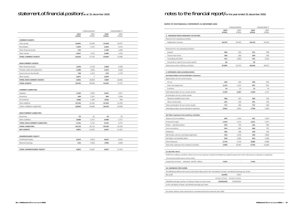# statement.of.financial.position/as at 31 december 2002 notes to the financial report/for the year ended 31 december 2002

|                                      |                 | CONSOLIDATED    |                 | MELBOURNE IT    |  |
|--------------------------------------|-----------------|-----------------|-----------------|-----------------|--|
|                                      | 2002<br>\$'000s | 2001<br>\$'000s | 2002<br>\$'000s | 2001<br>\$'000s |  |
| <b>CURRENT ASSETS</b>                |                 |                 |                 |                 |  |
| Cash assets                          | 14,691          | 15,976          | 13,428          | 14,877          |  |
| Receivables                          | 2,394           | 4,707           | 2,452           | 4,570           |  |
| Other financial assets               | 122             |                 | 1,328           | 1,206           |  |
| <b>Other Assets</b>                  | 6,857           | 7,072           | 6,486           | 7,033           |  |
| <b>TOTAL CURRENT ASSETS</b>          | 24,064          | 27,755          | 23,694          | 27,686          |  |
| <b>NON-CURRENT ASSETS</b>            |                 |                 |                 |                 |  |
| Other financial assets               | 1,876           | 6,124           | 1,882           | 6,168           |  |
| Property, plant and equipment        | 2,180           | 3,401           | 1,672           | 2,618           |  |
| Future Income Tax Benefit            | 728             | 1,272           | 675             | 1,279           |  |
| <b>Other Assets</b>                  | 3,677           | $\overline{7}$  | 3,670           |                 |  |
| <b>TOTAL NON-CURRENT ASSETS</b>      | 8,461           | 10,804          | 7,899           | 10,065          |  |
| <b>TOTAL ASSETS</b>                  | 32,525          | 38,559          | 31,593          | 37,751          |  |
| <b>CURRENT LIABILITIES</b>           |                 |                 |                 |                 |  |
| Payables                             | 5,760           | 5,835           | 5,967           | 5,877           |  |
| Provisions                           | 638             | 2,321           | 584             | 2,296           |  |
| <b>Tax liabilities</b>               | (168)           | 1,339           | (519)           | 940             |  |
| Other liabilities                    | 12,763          | 11,445          | 12,763          | 11,445          |  |
| TOTAL CURRENT LIABILITIES            | 18,993          | 20,940          | 18,795          | 20,558          |  |
| <b>NON-CURRENT LIABILITIES</b>       |                 |                 |                 |                 |  |
| Provisions                           | 43              | 55              | 43              | 55              |  |
| Other Liabilities                    | 6,688           | 5,717           | 6,688           | 5,717           |  |
| <b>TOTAL NON-CURRENT LIABILITIES</b> | 6,731           | 5,772           | 6,731           | 5,772           |  |
| <b>TOTAL LIABILITIES</b>             | 25,724          | 26,712          | 25,526          | 26,330          |  |
| <b>NET ASSETS</b>                    | 6,801           | 11,847          | 6,067           | 11,421          |  |
| <b>SHAREHOLDERS' EQUITY</b>          |                 |                 |                 |                 |  |
| Contributed equity                   | 6,813           | 6,813           | 6,813           | 6,813           |  |
| Retained earnings                    | (12)            | 5,034           | (746)           | 4,608           |  |
| <b>TOTAL SHAREHOLDERS' EQUITY</b>    | 6,801           | 11,847          | 6,067           | 11,421          |  |
|                                      |                 |                 |                 |                 |  |
|                                      |                 |                 |                 |                 |  |

### NOTES TO THE FINANCIAL STATEMENTS 31 DECEMBER 2002

|                                                                                                                                                  |                  | CONSOLIDATED     |                 | <b>MELBOURNE IT</b> |  |
|--------------------------------------------------------------------------------------------------------------------------------------------------|------------------|------------------|-----------------|---------------------|--|
|                                                                                                                                                  | 2002<br>\$'000s  | 2001<br>\$'000s  | 2002<br>\$′000s | 2001<br>\$'000s     |  |
| 2. REVENUE FROM ORDINARY ACTIVITIES                                                                                                              |                  |                  |                 |                     |  |
| Revenue from operating activities                                                                                                                |                  |                  |                 |                     |  |
| Registration revenue                                                                                                                             | 46,542           | 46,624           | 45,319          | 44,100              |  |
|                                                                                                                                                  |                  |                  |                 |                     |  |
| Revenue from non-operating activities                                                                                                            |                  |                  |                 |                     |  |
| Interest                                                                                                                                         | 484              | 604              | 471             | 598                 |  |
| <b>Government Grant</b>                                                                                                                          | 359              | 200              | 359             | 200                 |  |
| Consulting and other                                                                                                                             | 471              | 3,844            | 471             | 3,314               |  |
| Proceeds on sale of non-current assets                                                                                                           | 26               | ×,               | 26              |                     |  |
| Total revenue from Ordinary activities                                                                                                           | 47,882           | 51,272           | 46,646          | 48,212              |  |
| 3. EXPENSES AND (LOSSES)/GAINS                                                                                                                   |                  |                  |                 |                     |  |
| (a) Depreciation and amortisation expenses                                                                                                       |                  |                  |                 |                     |  |
| Depreciation of non-current assets                                                                                                               |                  |                  |                 |                     |  |
| Fit out                                                                                                                                          | 209              | 206              | 209             | 206                 |  |
| Plant and equipment                                                                                                                              | 1,123            | 1,237            | 807             | 907                 |  |
| Furniture                                                                                                                                        | 14               | 14               | 13              | 14                  |  |
| Total Depreciation of non-current assets                                                                                                         | 1,346            | 1,457            | 1,029           | 1,127               |  |
| Amortisation of non-current assets                                                                                                               |                  |                  |                 |                     |  |
| Neulevel establishment costs                                                                                                                     | 466              | 310              | 466             | 310                 |  |
| Other Investments                                                                                                                                | 251              | 146              | 251             | 146                 |  |
| Total amortisation of non-current assets                                                                                                         | 717              | 456              | 717             | 456                 |  |
| Total Depreciation and amortisation expenses                                                                                                     | 2,063            | 1,913            | 1,746           | 1,583               |  |
|                                                                                                                                                  |                  |                  |                 |                     |  |
| (b) Other expenses from ordinary activities<br>Travel & Accommodation                                                                            | 683              | 1,140            | 651             | 1,053               |  |
| Financial & Legal                                                                                                                                | 1,634            | 3,131            | 1,611           | 3,107               |  |
| Rental - operating leases                                                                                                                        | 555              | 743              | 431             | 556                 |  |
| Communications                                                                                                                                   | 910              | 829              | 868             | 797                 |  |
| Marketing                                                                                                                                        | 365              | 448              | 340             | 434                 |  |
| Net foreign currency exchange (gain)/loss                                                                                                        | 334              | (124)            | 330             | (456)               |  |
| Bad debts and doubtful debts                                                                                                                     | 646              | 1,066            | 619             | 1,066               |  |
| Other Expenses                                                                                                                                   | 2,732            | 3,714            | 4,895           | 6,089               |  |
| Total other expenses from ordinary activities                                                                                                    | 7,859            | 10,947           | 9,745           | 12,646              |  |
|                                                                                                                                                  |                  |                  |                 |                     |  |
| (c) Specific items                                                                                                                               |                  |                  |                 |                     |  |
| Profit from ordinary activities before income tax expense includes the following material expense for which disclosure is relevant in explaining |                  |                  |                 |                     |  |
| the financial performance of the entity                                                                                                          |                  |                  |                 |                     |  |
| Impairment of Asset<br>(Neulevel \$6.847 million)                                                                                                | 7,054            |                  | 7,054           |                     |  |
|                                                                                                                                                  |                  |                  |                 |                     |  |
| <b>26. EARNINGS PER SHARE</b>                                                                                                                    |                  |                  |                 |                     |  |
| The following reflects the income and share data used in the calculations of basic and diluted earnings per share:                               |                  |                  |                 |                     |  |
| Net profit                                                                                                                                       | (5,046)          | 3,053            |                 |                     |  |
|                                                                                                                                                  | Number of shares | Number of shares |                 |                     |  |
| Weighted average number of ordinary shares on issue used                                                                                         | 50,000,000       | 50,000,000       |                 |                     |  |
| in the calculation of basic and diluted earnings per share                                                                                       |                  |                  |                 |                     |  |
|                                                                                                                                                  |                  |                  |                 |                     |  |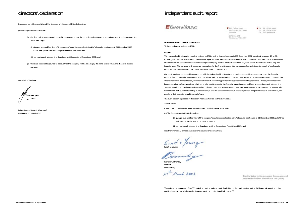In accordance with a resolution of the directors of Melbourne IT Ltd, I state that:

(1) In the opinion of the directors :

- (a) the financial statements and notes of the company and of the consolidated entity are in accordance with the *Corporations Act 2001*, including :
	- (i) giving a true and fair view of the company's and the consolidated entity's financial position as at 31 December 2002 and of their performance for the year ended on that date; and
	- (ii) complying with Accounting Standards and Corporations Regulations 2001; and
- (b) there are reasonable grounds to believe that the company will be able to pay its debts as and when they become due and payable.

On behalf of the Board

Herman

Robert James Stewart (Chairman) Melbourne, 27 March 2003

## directors'.declaration directors'.declaration

### **Ell ERNST & YOUNG**

### **INDEPENDENT AUDIT REPORT**

To the members of Melbourne IT Ltd

#### **SCOPE**

We have audited the financial report of Melbourne IT Ltd for the financial year ended 31 December 2002 as set out on pages 10 to 37, including the Directors' Declaration. The financial report includes the financial statements of Melbourne IT Ltd, and the consolidated financial statements of the consolidated entity comprising the company and the entities it controlled at year's end or from time to time during the financial year. The company's directors are responsible for the financial report. We have conducted an independent audit of the financial report in order to express an opinion on it to the members of the company.

Our audit has been conducted in accordance with Australian Auditing Standards to provide reasonable assurance whether the financial report is free of material misstatement. Our procedures included examination, on a test basis, of evidence supporting the amounts and other disclosures in the financial report, and the evaluation of accounting policies and significant accounting estimates. These procedures have been undertaken to form an opinion whether, in all material respects, the financial report is presented fairly in accordance with Accounting Standards and other mandatory professional reporting requirements in Australia and statutory requirements, so as to present a view which is consistent with our understanding of the company's and the consolidated entity's financial position and performance as presented by the results of their operations and their cash flows.

The audit opinion expressed in this report has been formed on the above basis. Audit Opinion

In our opinion, the financial report of Melbourne IT Ltd is in accordance with:

(a) The *Corporations Act 2001* including :

 (i) giving a true and fair view of the company's and the consolidated entity's financial position as at 31 December 2002 and of their performance for the year ended on that date; and

(ii) complying with Accounting Standards and the Corporations Regulations 2001; and

(b) other mandatory professional reporting requirements in Australia.

Ernst & Young

Donald C Brumley Partner Melbourne,

27th March 2003

The reference to pages 10 to 37 contained in the independent Audit Report (above) relates to the full financial report and the auditor's report which is available on request by contacting Melbourne IT.

| 120 Collins Street                | Tel 61 3 9288 8000  |
|-----------------------------------|---------------------|
| Melbourne VIC 3000                | Fax: 61 3 9654 6166 |
| Australia                         | DX 293 Melbourne    |
| GPO Box 678<br>Melbourne VIC 3001 |                     |

Liability limited by the Accountants Scheme, approved under the Professional Standards Act 1994 (NSW)